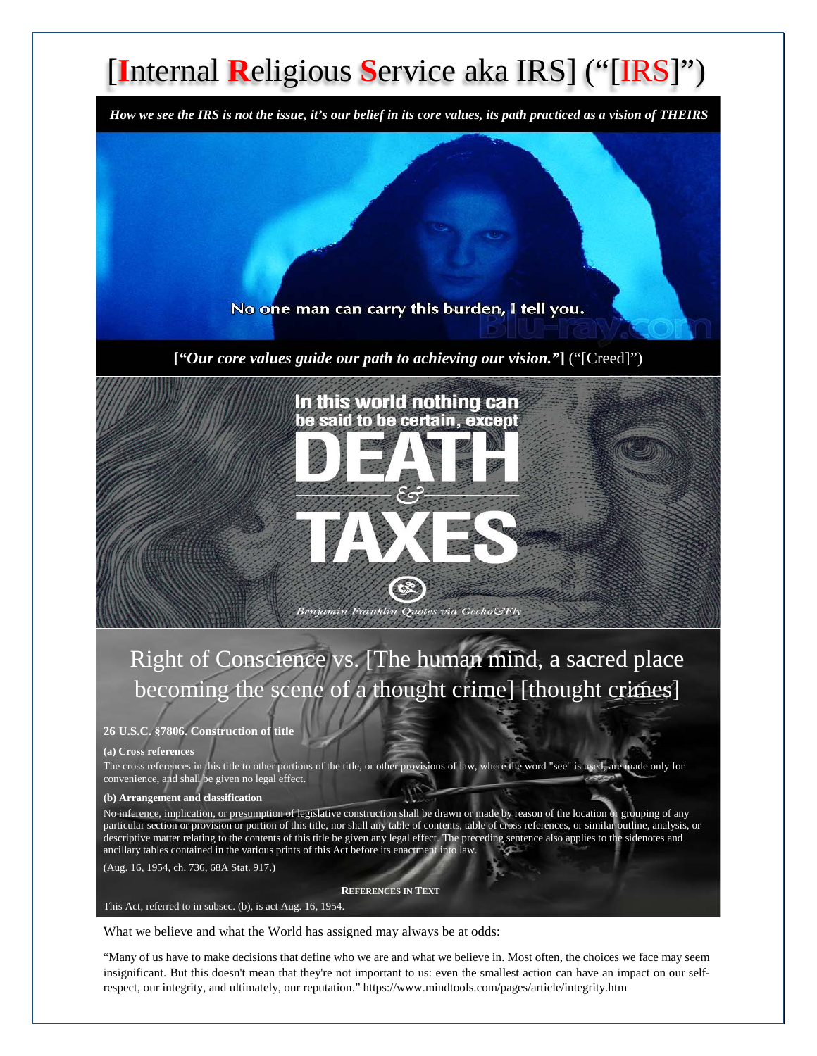# [**I**nternal **R**eligious **S**ervice aka IRS] ("[IRS]")

*How we see the IRS is not the issue, it's our belief in its core values, its path practiced as a vision of THEIRS*

No one man can carry this burden, I tell you.

**[***"Our core values guide our path to achieving our vision."***]** ("[Creed]")



## Right of Conscience vs. [The human mind, a sacred place becoming the scene of a thought crime] [thought crimes]

#### **26 U.S.C. §7806. Construction of title**

#### **(a) Cross references**

The cross references in this title to other portions of the title, or other provisions of law, where the word "see" is used, are made only for convenience, and shall be given no legal effect.

#### **(b) Arrangement and classification**

No inference, implication, or presumption of legislative construction shall be drawn or made by reason of the location or grouping of any particular section or provision or portion of this title, nor shall any table of contents, table of cross references, or similar outline, analysis, or descriptive matter relating to the contents of this title be given any legal effect. The preceding sentence also applies to the sidenotes and ancillary tables contained in the various prints of this Act before its enactment into law.

(Aug. 16, 1954, ch. 736, 68A Stat. 917.)

**REFERENCES IN TEXT**

#### This Act, referred to in subsec. (b), is act Aug. 16, 1954.

What we believe and what the World has assigned may always be at odds:

"Many of us have to make decisions that define who we are and what we believe in. Most often, the choices we face may seem insignificant. But this doesn't mean that they're not important to us: even the smallest action can have an impact on our selfrespect, our integrity, and ultimately, our reputation." https://www.mindtools.com/pages/article/integrity.htm